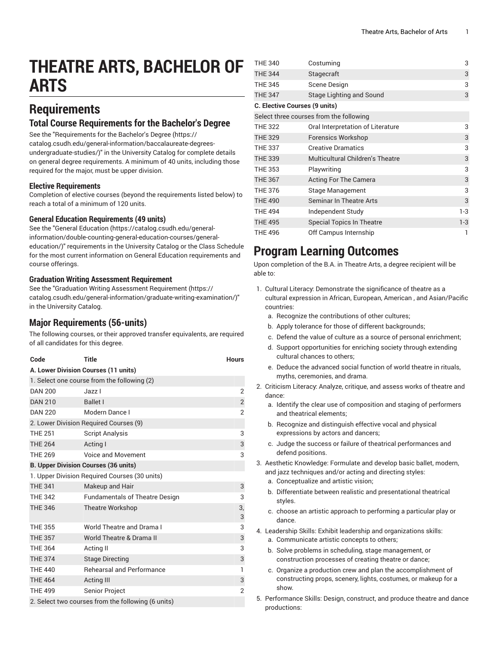# **THEATRE ARTS, BACHELOR OF ARTS**

# **Requirements**

## **Total Course Requirements for the Bachelor's Degree**

See the "[Requirements](https://catalog.csudh.edu/general-information/baccalaureate-degrees-undergraduate-studies/) for the Bachelor's Degree [\(https://](https://catalog.csudh.edu/general-information/baccalaureate-degrees-undergraduate-studies/) [catalog.csudh.edu/general-information/baccalaureate-degrees](https://catalog.csudh.edu/general-information/baccalaureate-degrees-undergraduate-studies/)[undergraduate-studies/\)](https://catalog.csudh.edu/general-information/baccalaureate-degrees-undergraduate-studies/)" in the University Catalog for complete details on general degree requirements. A minimum of 40 units, including those required for the major, must be upper division.

### **Elective Requirements**

Completion of elective courses (beyond the requirements listed below) to reach a total of a minimum of 120 units.

#### **General Education Requirements (49 units)**

See the "General [Education](https://catalog.csudh.edu/general-information/double-counting-general-education-courses/general-education/) ([https://catalog.csudh.edu/general](https://catalog.csudh.edu/general-information/double-counting-general-education-courses/general-education/)[information/double-counting-general-education-courses/general](https://catalog.csudh.edu/general-information/double-counting-general-education-courses/general-education/)[education/](https://catalog.csudh.edu/general-information/double-counting-general-education-courses/general-education/))" requirements in the University Catalog or the Class Schedule for the most current information on General Education requirements and course offerings.

#### **Graduation Writing Assessment Requirement**

See the "Graduation Writing Assessment [Requirement \(https://](https://catalog.csudh.edu/general-information/graduate-writing-examination/) [catalog.csudh.edu/general-information/graduate-writing-examination/\)](https://catalog.csudh.edu/general-information/graduate-writing-examination/)" in the University Catalog.

### **Major Requirements (56-units)**

The following courses, or their approved transfer equivalents, are required of all candidates for this degree.

| Code                                               | <b>Title</b>                                  | <b>Hours</b>     |  |
|----------------------------------------------------|-----------------------------------------------|------------------|--|
|                                                    | A. Lower Division Courses (11 units)          |                  |  |
| 1. Select one course from the following (2)        |                                               |                  |  |
| <b>DAN 200</b>                                     | Jazz I                                        | $\overline{2}$   |  |
| <b>DAN 210</b>                                     | <b>Ballet I</b>                               | $\overline{2}$   |  |
| <b>DAN 220</b>                                     | Modern Dance I                                | $\overline{2}$   |  |
|                                                    | 2. Lower Division Required Courses (9)        |                  |  |
| <b>THE 251</b>                                     | <b>Script Analysis</b>                        | 3                |  |
| <b>THE 264</b>                                     | Acting I                                      | 3                |  |
| <b>THE 269</b>                                     | Voice and Movement                            | 3                |  |
|                                                    | <b>B. Upper Division Courses (36 units)</b>   |                  |  |
|                                                    | 1. Upper Division Required Courses (30 units) |                  |  |
| <b>THE 341</b>                                     | Makeup and Hair                               | 3                |  |
| <b>THF 342</b>                                     | <b>Fundamentals of Theatre Design</b>         | 3                |  |
| <b>THE 346</b>                                     | <b>Theatre Workshop</b>                       | 3,<br>$\sqrt{3}$ |  |
| <b>THE 355</b>                                     | World Theatre and Drama L                     | 3                |  |
| <b>THE 357</b>                                     | World Theatre & Drama II                      | 3                |  |
| <b>THE 364</b>                                     | Acting II                                     | 3                |  |
| <b>THE 374</b>                                     | <b>Stage Directing</b>                        | 3                |  |
| <b>THE 440</b>                                     | <b>Rehearsal and Performance</b>              | 1                |  |
| <b>THE 464</b>                                     | <b>Acting III</b>                             | 3                |  |
| <b>THE 499</b>                                     | Senior Project                                | $\overline{2}$   |  |
| 2. Select two courses from the following (6 units) |                                               |                  |  |

| <b>THE 340</b>                          | Costuming                               | 3       |  |
|-----------------------------------------|-----------------------------------------|---------|--|
| <b>THE 344</b>                          | Stagecraft                              | 3       |  |
| <b>THE 345</b>                          | Scene Design                            | 3       |  |
| <b>THE 347</b>                          | Stage Lighting and Sound                | 3       |  |
| <b>C. Elective Courses (9 units)</b>    |                                         |         |  |
| Select three courses from the following |                                         |         |  |
| <b>THE 322</b>                          | Oral Interpretation of Literature       | 3       |  |
| <b>THE 329</b>                          | <b>Forensics Workshop</b>               | 3       |  |
| <b>THE 337</b>                          | <b>Creative Dramatics</b>               | 3       |  |
| <b>THE 339</b>                          | <b>Multicultural Children's Theatre</b> | 3       |  |
| <b>THE 353</b>                          | Playwriting                             | 3       |  |
| <b>THE 367</b>                          | Acting For The Camera                   | 3       |  |
| <b>THE 376</b>                          | Stage Management                        | 3       |  |
| <b>THE 490</b>                          | <b>Seminar In Theatre Arts</b>          | 3       |  |
| <b>THE 494</b>                          | Independent Study                       | $1-3$   |  |
| <b>THE 495</b>                          | <b>Special Topics In Theatre</b>        | $1 - 3$ |  |
| <b>THE 496</b>                          | Off Campus Internship                   | 1       |  |

# **Program Learning Outcomes**

Upon completion of the B.A. in Theatre Arts, a degree recipient will be able to:

- 1. Cultural Literacy: Demonstrate the significance of theatre as a cultural expression in African, European, American , and Asian/Pacific countries:
	- a. Recognize the contributions of other cultures;
	- b. Apply tolerance for those of different backgrounds;
	- c. Defend the value of culture as a source of personal enrichment;
	- d. Support opportunities for enriching society through extending cultural chances to others;
	- e. Deduce the advanced social function of world theatre in rituals, myths, ceremonies, and drama.
- 2. Criticism Literacy: Analyze, critique, and assess works of theatre and dance:
	- a. Identify the clear use of composition and staging of performers and theatrical elements;
	- b. Recognize and distinguish effective vocal and physical expressions by actors and dancers;
	- c. Judge the success or failure of theatrical performances and defend positions.
- 3. Aesthetic Knowledge: Formulate and develop basic ballet, modern, and jazz techniques and/or acting and directing styles:
	- a. Conceptualize and artistic vision;
	- b. Differentiate between realistic and presentational theatrical styles.
	- c. choose an artistic approach to performing a particular play or dance.
- 4. Leadership Skills: Exhibit leadership and organizations skills:
	- a. Communicate artistic concepts to others;
	- b. Solve problems in scheduling, stage management, or construction processes of creating theatre or dance;
	- c. Organize a production crew and plan the accomplishment of constructing props, scenery, lights, costumes, or makeup for a show.
- 5. Performance Skills: Design, construct, and produce theatre and dance productions: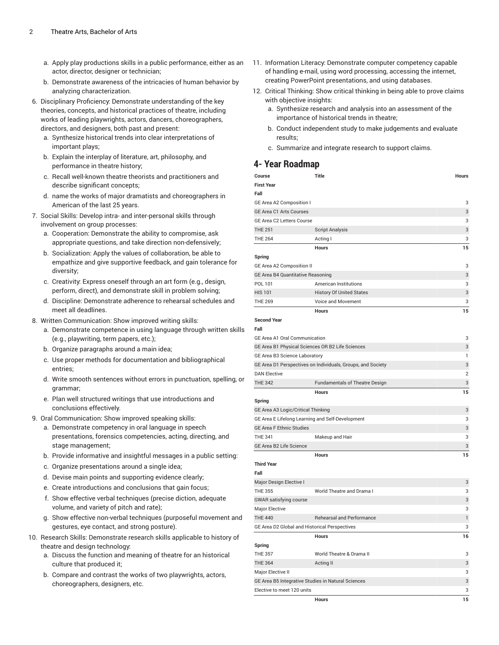- a. Apply play productions skills in a public performance, either as an actor, director, designer or technician;
- b. Demonstrate awareness of the intricacies of human behavior by analyzing characterization.
- 6. Disciplinary Proficiency: Demonstrate understanding of the key theories, concepts, and historical practices of theatre, including works of leading playwrights, actors, dancers, choreographers, directors, and designers, both past and present:
	- a. Synthesize historical trends into clear interpretations of important plays;
	- b. Explain the interplay of literature, art, philosophy, and performance in theatre history;
	- c. Recall well-known theatre theorists and practitioners and describe significant concepts;
	- d. name the works of major dramatists and choreographers in American of the last 25 years.
- 7. Social Skills: Develop intra- and inter-personal skills through involvement on group processes:
	- a. Cooperation: Demonstrate the ability to compromise, ask appropriate questions, and take direction non-defensively;
	- b. Socialization: Apply the values of collaboration, be able to empathize and give supportive feedback, and gain tolerance for diversity;
	- c. Creativity: Express oneself through an art form (e.g., design, perform, direct), and demonstrate skill in problem solving;
	- d. Discipline: Demonstrate adherence to rehearsal schedules and meet all deadlines.
- 8. Written Communication: Show improved writing skills:
	- a. Demonstrate competence in using language through written skills (e.g., playwriting, term papers, etc.);
	- b. Organize paragraphs around a main idea;
	- c. Use proper methods for documentation and bibliographical entries;
	- d. Write smooth sentences without errors in punctuation, spelling, or grammar;
	- e. Plan well structured writings that use introductions and conclusions effectively.
- 9. Oral Communication: Show improved speaking skills:
	- a. Demonstrate competency in oral language in speech presentations, forensics competencies, acting, directing, and stage management;
	- b. Provide informative and insightful messages in a public setting:
	- c. Organize presentations around a single idea;
	- d. Devise main points and supporting evidence clearly;
	- e. Create introductions and conclusions that gain focus;
	- f. Show effective verbal techniques (precise diction, adequate volume, and variety of pitch and rate);
	- g. Show effective non-verbal techniques (purposeful movement and gestures, eye contact, and strong posture).
- 10. Research Skills: Demonstrate research skills applicable to history of theatre and design technology:
	- a. Discuss the function and meaning of theatre for an historical culture that produced it;
	- b. Compare and contrast the works of two playwrights, actors, choreographers, designers, etc.
- 11. Information Literacy: Demonstrate computer competency capable of handling e-mail, using word processing, accessing the internet, creating PowerPoint presentations, and using databases.
- 12. Critical Thinking: Show critical thinking in being able to prove claims with objective insights:
	- a. Synthesize research and analysis into an assessment of the importance of historical trends in theatre;
	- b. Conduct independent study to make judgements and evaluate results;
	- c. Summarize and integrate research to support claims.

### **4- Year Roadmap**

| Course                                             | Title                                                       | <b>Hours</b>            |
|----------------------------------------------------|-------------------------------------------------------------|-------------------------|
| First Year                                         |                                                             |                         |
| Fall                                               |                                                             |                         |
| GE Area A2 Composition I                           |                                                             | 3                       |
| GE Area C1 Arts Courses                            |                                                             | 3                       |
| GE Area C2 Letters Course                          |                                                             | 3                       |
| <b>THE 251</b>                                     | <b>Script Analysis</b>                                      | 3                       |
| <b>THE 264</b>                                     | Acting I                                                    | 3                       |
|                                                    | Hours                                                       | 15                      |
| Spring                                             |                                                             |                         |
| GE Area A2 Composition II                          |                                                             | 3                       |
| GE Area B4 Quantitative Reasoning                  |                                                             | 3                       |
| POL 101                                            | American Institutions                                       | 3                       |
| HIS 101                                            | <b>History Of United States</b>                             | 3                       |
| <b>THE 269</b>                                     | Voice and Movement                                          | 3                       |
|                                                    | <b>Hours</b>                                                | 15                      |
| Second Year                                        |                                                             |                         |
| Fall                                               |                                                             |                         |
| GE Area A1 Oral Communication                      |                                                             | 3                       |
| GE Area B1 Physical Sciences OR B2 Life Sciences   |                                                             | 3                       |
| GE Area B3 Science Laboratory                      |                                                             | 1                       |
|                                                    | GE Area D1 Perspectives on Individuals, Groups, and Society | 3                       |
| <b>DAN Elective</b>                                |                                                             | $\overline{\mathbf{c}}$ |
| <b>THE 342</b>                                     | <b>Fundamentals of Theatre Design</b>                       | 3                       |
|                                                    | Hours                                                       | 15                      |
| Spring                                             |                                                             |                         |
| GE Area A3 Logic/Critical Thinking                 |                                                             | 3                       |
| GE Area E Lifelong Learning and Self-Development   |                                                             | 3                       |
| GE Area F Ethnic Studies                           |                                                             | 3                       |
| THE 341                                            | Makeup and Hair                                             | 3                       |
| <b>GE Area B2 Life Science</b>                     |                                                             | 3                       |
|                                                    | Hours                                                       | 15                      |
| Third Year                                         |                                                             |                         |
| Fall                                               |                                                             |                         |
| Major Design Elective I                            |                                                             | 3                       |
| THE 355                                            | World Theatre and Drama I                                   | 3                       |
| GWAR satisfying course                             |                                                             | 3                       |
| Major Elective                                     |                                                             | 3                       |
| <b>THE 440</b>                                     | Rehearsal and Performance                                   | 1                       |
| GE Area D2 Global and Historical Perspectives      |                                                             | 3                       |
|                                                    | Hours                                                       | 16                      |
| Spring                                             |                                                             |                         |
| THE 357                                            | World Theatre & Drama II                                    | 3                       |
| <b>THE 364</b>                                     | Acting II                                                   | 3                       |
| Major Elective II                                  |                                                             | 3                       |
| GE Area B5 Integrative Studies in Natural Sciences |                                                             | 3                       |
| Elective to meet 120 units                         |                                                             | 3                       |
|                                                    | Hours                                                       | 15                      |
|                                                    |                                                             |                         |